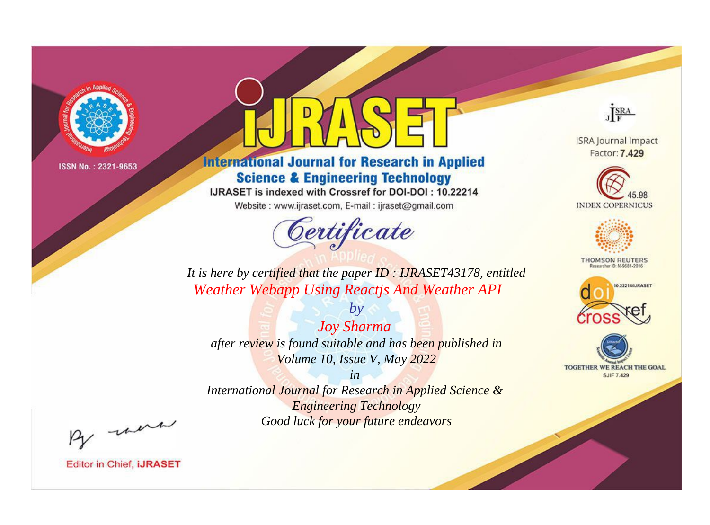

# **International Journal for Research in Applied Science & Engineering Technology**

IJRASET is indexed with Crossref for DOI-DOI: 10.22214

Website: www.ijraset.com, E-mail: ijraset@gmail.com



JERA

**ISRA Journal Impact** Factor: 7.429





**THOMSON REUTERS** 



TOGETHER WE REACH THE GOAL **SJIF 7.429** 

*It is here by certified that the paper ID : IJRASET43178, entitled Weather Webapp Using Reactjs And Weather API*

*by Joy Sharma after review is found suitable and has been published in Volume 10, Issue V, May 2022*

*in* 

*International Journal for Research in Applied Science & Engineering Technology Good luck for your future endeavors*

By morn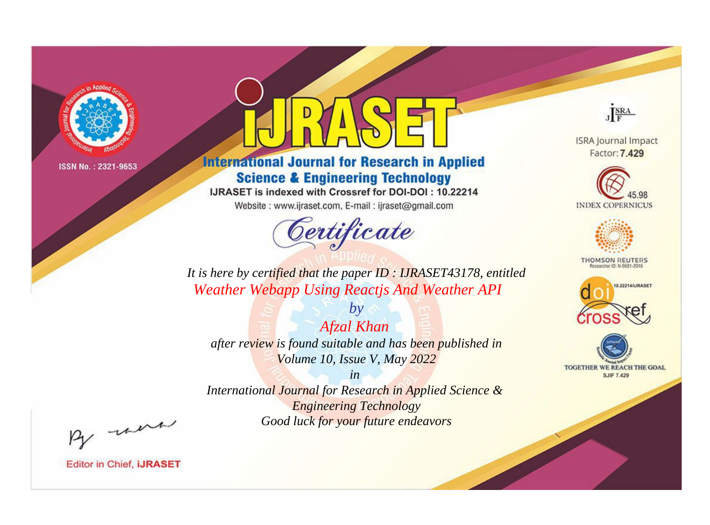

# **International Journal for Research in Applied Science & Engineering Technology**

IJRASET is indexed with Crossref for DOI-DOI: 10.22214

Website: www.ijraset.com, E-mail: ijraset@gmail.com



JERA

**ISRA Journal Impact** Factor: 7.429





**THOMSON REUTERS** 



TOGETHER WE REACH THE GOAL **SJIF 7.429** 

*It is here by certified that the paper ID : IJRASET43178, entitled Weather Webapp Using Reactjs And Weather API*

*Afzal Khan after review is found suitable and has been published in Volume 10, Issue V, May 2022*

*by*

*in* 

*International Journal for Research in Applied Science & Engineering Technology Good luck for your future endeavors*

By morn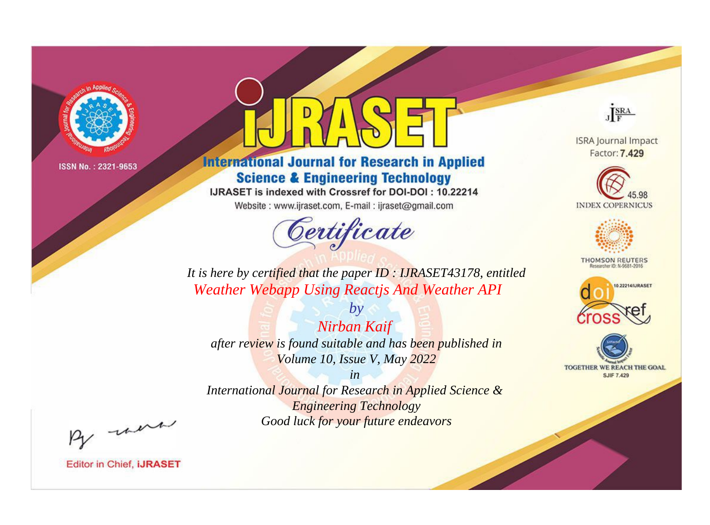

# **International Journal for Research in Applied Science & Engineering Technology**

IJRASET is indexed with Crossref for DOI-DOI: 10.22214

Website: www.ijraset.com, E-mail: ijraset@gmail.com



JERA

**ISRA Journal Impact** Factor: 7.429





**THOMSON REUTERS** 



TOGETHER WE REACH THE GOAL **SJIF 7.429** 

*It is here by certified that the paper ID : IJRASET43178, entitled Weather Webapp Using Reactjs And Weather API*

*Nirban Kaif after review is found suitable and has been published in Volume 10, Issue V, May 2022*

*by*

*in* 

*International Journal for Research in Applied Science & Engineering Technology Good luck for your future endeavors*

By morn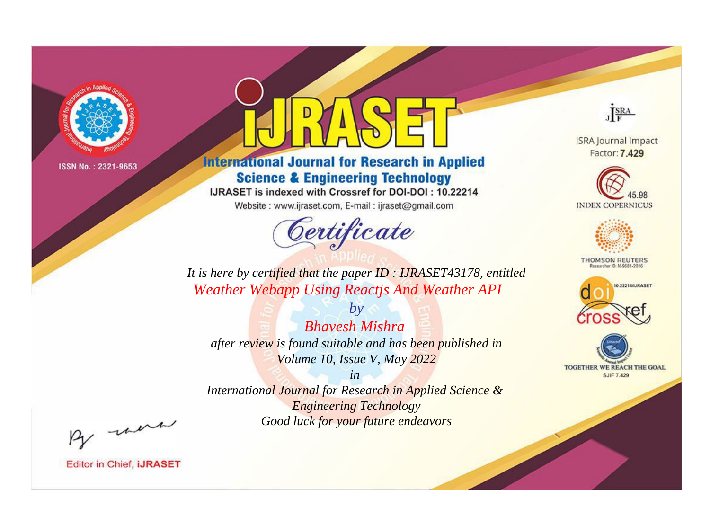

# **International Journal for Research in Applied Science & Engineering Technology**

IJRASET is indexed with Crossref for DOI-DOI: 10.22214

Website: www.ijraset.com, E-mail: ijraset@gmail.com



JERA

**ISRA Journal Impact** Factor: 7.429





**THOMSON REUTERS** 



TOGETHER WE REACH THE GOAL **SJIF 7.429** 

*It is here by certified that the paper ID : IJRASET43178, entitled Weather Webapp Using Reactjs And Weather API*

*Bhavesh Mishra after review is found suitable and has been published in Volume 10, Issue V, May 2022*

*by*

*in* 

*International Journal for Research in Applied Science & Engineering Technology Good luck for your future endeavors*

By morn